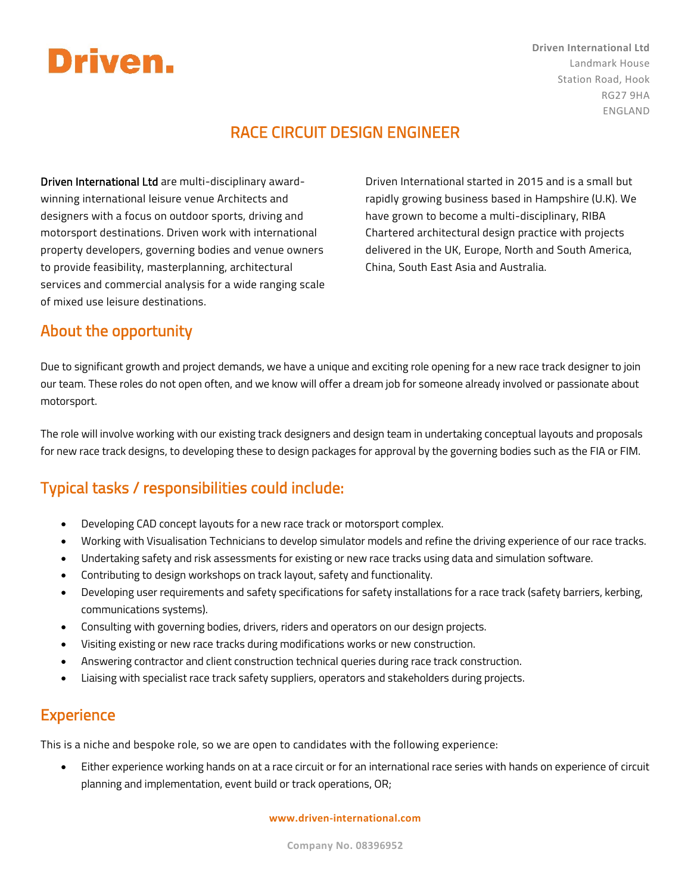# Driven.

**Driven International Ltd** Landmark House Station Road, Hook RG27 9HA ENGLAND

## RACE CIRCUIT DESIGN ENGINEER

Driven International Ltd are multi-disciplinary awardwinning international leisure venue Architects and designers with a focus on outdoor sports, driving and motorsport destinations. Driven work with international property developers, governing bodies and venue owners to provide feasibility, masterplanning, architectural services and commercial analysis for a wide ranging scale of mixed use leisure destinations.

Driven International started in 2015 and is a small but rapidly growing business based in Hampshire (U.K). We have grown to become a multi-disciplinary, RIBA Chartered architectural design practice with projects delivered in the UK, Europe, North and South America, China, South East Asia and Australia.

### About the opportunity

Due to significant growth and project demands, we have a unique and exciting role opening for a new race track designer to join our team. These roles do not open often, and we know will offer a dream job for someone already involved or passionate about motorsport.

The role will involve working with our existing track designers and design team in undertaking conceptual layouts and proposals for new race track designs, to developing these to design packages for approval by the governing bodies such as the FIA or FIM.

## Typical tasks / responsibilities could include:

- Developing CAD concept layouts for a new race track or motorsport complex.
- Working with Visualisation Technicians to develop simulator models and refine the driving experience of our race tracks.
- Undertaking safety and risk assessments for existing or new race tracks using data and simulation software.
- Contributing to design workshops on track layout, safety and functionality.
- Developing user requirements and safety specifications for safety installations for a race track (safety barriers, kerbing, communications systems).
- Consulting with governing bodies, drivers, riders and operators on our design projects.
- Visiting existing or new race tracks during modifications works or new construction.
- Answering contractor and client construction technical queries during race track construction.
- Liaising with specialist race track safety suppliers, operators and stakeholders during projects.

### **Experience**

This is a niche and bespoke role, so we are open to candidates with the following experience:

• Either experience working hands on at a race circuit or for an international race series with hands on experience of circuit planning and implementation, event build or track operations, OR;

#### **www.driven-international.com**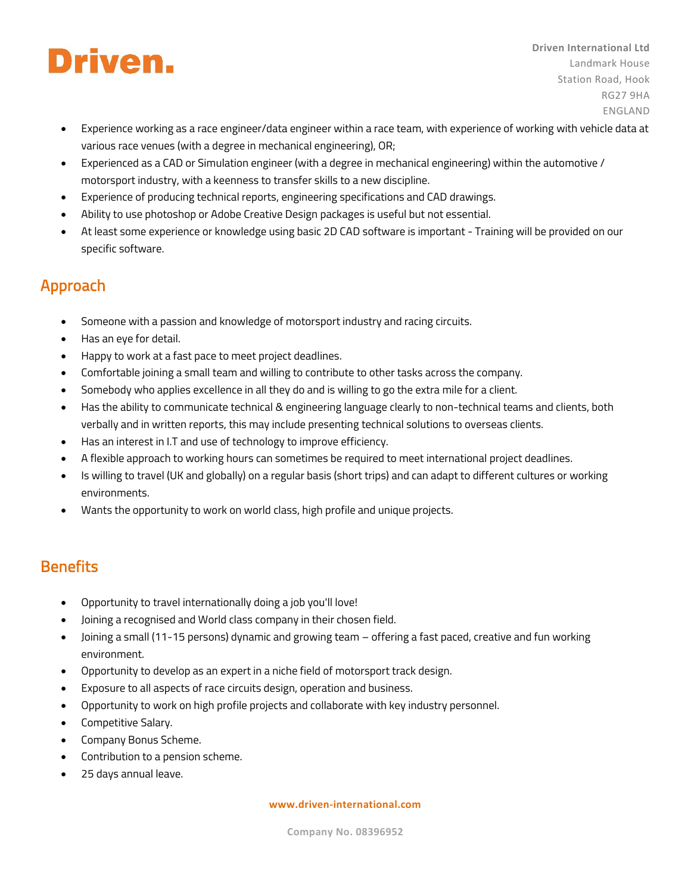# Driven.

• Experience working as a race engineer/data engineer within a race team, with experience of working with vehicle data at various race venues (with a degree in mechanical engineering), OR;

**Driven International Ltd**

Landmark House Station Road, Hook

> RG27 9HA ENGLAND

- Experienced as a CAD or Simulation engineer (with a degree in mechanical engineering) within the automotive / motorsport industry, with a keenness to transfer skills to a new discipline.
- Experience of producing technical reports, engineering specifications and CAD drawings.
- Ability to use photoshop or Adobe Creative Design packages is useful but not essential.
- At least some experience or knowledge using basic 2D CAD software is important Training will be provided on our specific software.

## Approach

- Someone with a passion and knowledge of motorsport industry and racing circuits.
- Has an eye for detail.
- Happy to work at a fast pace to meet project deadlines.
- Comfortable joining a small team and willing to contribute to other tasks across the company.
- Somebody who applies excellence in all they do and is willing to go the extra mile for a client.
- Has the ability to communicate technical & engineering language clearly to non-technical teams and clients, both verbally and in written reports, this may include presenting technical solutions to overseas clients.
- Has an interest in I.T and use of technology to improve efficiency.
- A flexible approach to working hours can sometimes be required to meet international project deadlines.
- Is willing to travel (UK and globally) on a regular basis (short trips) and can adapt to different cultures or working environments.
- Wants the opportunity to work on world class, high profile and unique projects.

## **Benefits**

- Opportunity to travel internationally doing a job you'll love!
- Joining a recognised and World class company in their chosen field.
- Joining a small (11-15 persons) dynamic and growing team offering a fast paced, creative and fun working environment.
- Opportunity to develop as an expert in a niche field of motorsport track design.
- Exposure to all aspects of race circuits design, operation and business.
- Opportunity to work on high profile projects and collaborate with key industry personnel.
- Competitive Salary.
- Company Bonus Scheme.
- Contribution to a pension scheme.
- 25 days annual leave.

#### **www.driven-international.com**

**Company No. 08396952**